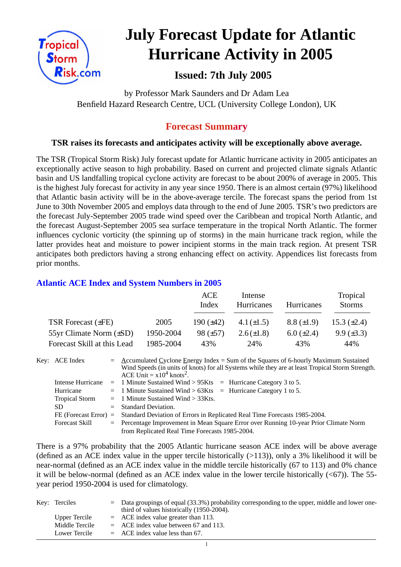

# **July Forecast Update for Atlantic Hurricane Activity in 2005**

# **Issued: 7th July 2005**

by Professor Mark Saunders and Dr Adam Lea Benfield Hazard Research Centre, UCL (University College London), UK

## **Forecast Summary**

## **TSR raises its forecasts and anticipates activity will be exceptionally above average.**

The TSR (Tropical Storm Risk) July forecast update for Atlantic hurricane activity in 2005 anticipates an exceptionally active season to high probability. Based on current and projected climate signals Atlantic basin and US landfalling tropical cyclone activity are forecast to be about 200% of average in 2005. This is the highest July forecast for activity in any year since 1950. There is an almost certain (97%) likelihood that Atlantic basin activity will be in the above-average tercile. The forecast spans the period from 1st June to 30th November 2005 and employs data through to the end of June 2005. TSR's two predictors are the forecast July-September 2005 trade wind speed over the Caribbean and tropical North Atlantic, and the forecast August-September 2005 sea surface temperature in the tropical North Atlantic. The former influences cyclonic vorticity (the spinning up of storms) in the main hurricane track region, while the latter provides heat and moisture to power incipient storms in the main track region. At present TSR anticipates both predictors having a strong enhancing effect on activity. Appendices list forecasts from prior months.

## **Atlantic ACE Index and System Numbers in 2005**

|                              |           | ACE<br>Index   | Intense<br><b>Hurricanes</b> | Hurricanes      | Tropical<br><b>Storms</b> |
|------------------------------|-----------|----------------|------------------------------|-----------------|---------------------------|
| TSR Forecast $(\pm FE)$      | 2005      | 190 $(\pm 42)$ | $4.1(\pm 1.5)$               | $8.8 (\pm 1.9)$ | 15.3 $(\pm 2.4)$          |
| 55yr Climate Norm $(\pm SD)$ | 1950-2004 | $98 (\pm 57)$  | $2.6(\pm 1.8)$               | $6.0 (\pm 2.4)$ | $9.9 \ (\pm 3.3)$         |
| Forecast Skill at this Lead  | 1985-2004 | 43%            | 24%                          | 43%             | 44%                       |

| Key: ACE Index        | $=$ Accumulated Cyclone Energy Index = Sum of the Squares of 6-hourly Maximum Sustained          |
|-----------------------|--------------------------------------------------------------------------------------------------|
|                       | Wind Speeds (in units of knots) for all Systems while they are at least Tropical Storm Strength. |
|                       | ACE Unit = $x10^4$ knots <sup>2</sup> .                                                          |
|                       | Intense Hurricane = 1 Minute Sustained Wind > $95Kts$ = Hurricane Category 3 to 5.               |
| Hurricane             | $=$ 1 Minute Sustained Wind > 63Kts $=$ Hurricane Category 1 to 5.                               |
| <b>Tropical Storm</b> | $=$ 1 Minute Sustained Wind $>$ 33Kts.                                                           |
| SD                    | $=$ Standard Deviation.                                                                          |
|                       | FE (Forecast Error) = Standard Deviation of Errors in Replicated Real Time Forecasts 1985-2004.  |
| <b>Forecast Skill</b> | = Percentage Improvement in Mean Square Error over Running 10-year Prior Climate Norm            |
|                       | from Replicated Real Time Forecasts 1985-2004.                                                   |

There is a 97% probability that the 2005 Atlantic hurricane season ACE index will be above average (defined as an ACE index value in the upper tercile historically  $(>113)$ ), only a 3% likelihood it will be near-normal (defined as an ACE index value in the middle tercile historically (67 to 113) and 0% chance it will be below-normal (defined as an ACE index value in the lower tercile historically  $( $67$ )$ ). The 55year period 1950-2004 is used for climatology.

| Key: Terciles  | $\epsilon$ Data groupings of equal (33.3%) probability corresponding to the upper, middle and lower one-<br>third of values historically (1950-2004). |
|----------------|-------------------------------------------------------------------------------------------------------------------------------------------------------|
| Upper Tercile  | $=$ ACE index value greater than 113.                                                                                                                 |
| Middle Tercile | $=$ ACE index value between 67 and 113.                                                                                                               |
| Lower Tercile  | $=$ ACE index value less than 67.                                                                                                                     |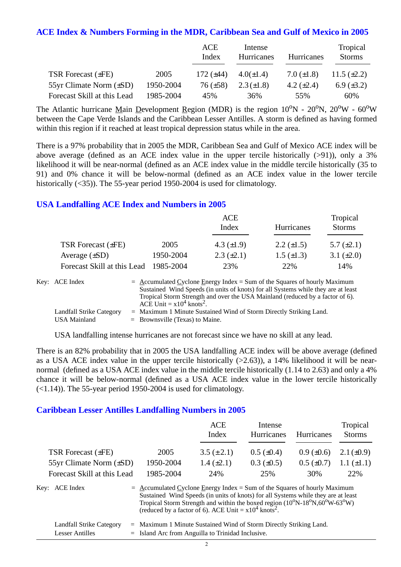#### **ACE Index & Numbers Forming in the MDR, Caribbean Sea and Gulf of Mexico in 2005**

|                              |           | ACE<br>Index    | Intense<br>Hurricanes | Hurricanes      | Tropical<br><b>Storms</b> |
|------------------------------|-----------|-----------------|-----------------------|-----------------|---------------------------|
| TSR Forecast $(\pm FE)$      | 2005      | 172 $(\pm 44)$  | $4.0(\pm 1.4)$        | 7.0 $(\pm 1.8)$ | 11.5 $(\pm 2.2)$          |
| 55yr Climate Norm $(\pm SD)$ | 1950-2004 | $76 \ (\pm 58)$ | $2.3(\pm 1.8)$        | 4.2 $(\pm 2.4)$ | $6.9 \ (\pm 3.2)$         |
| Forecast Skill at this Lead  | 1985-2004 | 45%             | 36%                   | 55%             | 60%                       |

The Atlantic hurricane Main Development Region (MDR) is the region  $10^{\circ}N - 20^{\circ}N$ ,  $20^{\circ}W - 60^{\circ}W$ between the Cape Verde Islands and the Caribbean Lesser Antilles. A storm is defined as having formed within this region if it reached at least tropical depression status while in the area.

There is a 97% probability that in 2005 the MDR, Caribbean Sea and Gulf of Mexico ACE index will be above average (defined as an ACE index value in the upper tercile historically (>91)), only a 3% likelihood it will be near-normal (defined as an ACE index value in the middle tercile historically (35 to 91) and 0% chance it will be below-normal (defined as an ACE index value in the lower tercile historically (<35)). The 55-year period 1950-2004 is used for climatology.

#### **USA Landfalling ACE Index and Numbers in 2005**

|                             |           | <b>ACE</b><br>Index | Hurricanes        | Tropical<br><b>Storms</b> |
|-----------------------------|-----------|---------------------|-------------------|---------------------------|
| TSR Forecast $(\pm FE)$     | 2005      | 4.3 $(\pm 1.9)$     | 2.2 $(\pm 1.5)$   | 5.7 $(\pm 2.1)$           |
| Average $(\pm SD)$          | 1950-2004 | $2.3 \ (\pm 2.1)$   | $1.5 \ (\pm 1.3)$ | 3.1 $(\pm 2.0)$           |
| Forecast Skill at this Lead | 1985-2004 | 23%                 | 22%               | 14%                       |

| Key: ACE Index           | $=$ Accumulated Cyclone Energy Index $=$ Sum of the Squares of hourly Maximum     |
|--------------------------|-----------------------------------------------------------------------------------|
|                          | Sustained Wind Speeds (in units of knots) for all Systems while they are at least |
|                          | Tropical Storm Strength and over the USA Mainland (reduced by a factor of 6).     |
|                          | ACE Unit $= x104$ knots <sup>2</sup> .                                            |
| Landfall Strike Category | $=$ Maximum 1 Minute Sustained Wind of Storm Directly Striking Land.              |
| <b>USA Mainland</b>      | $=$ Brownsville (Texas) to Maine.                                                 |

USA landfalling intense hurricanes are not forecast since we have no skill at any lead.

There is an 82% probability that in 2005 the USA landfalling ACE index will be above average (defined as a USA ACE index value in the upper tercile historically  $(>2.63)$ ), a 14% likelihood it will be nearnormal (defined as a USA ACE index value in the middle tercile historically (1.14 to 2.63) and only a 4% chance it will be below-normal (defined as a USA ACE index value in the lower tercile historically  $(\leq 1.14)$ ). The 55-year period 1950-2004 is used for climatology.

#### **Caribbean Lesser Antilles Landfalling Numbers in 2005**

|                              |                                                                                                                                                                  | <b>ACE</b><br>Index | Intense<br>Hurricanes | Hurricanes        | Tropical<br><b>Storms</b> |
|------------------------------|------------------------------------------------------------------------------------------------------------------------------------------------------------------|---------------------|-----------------------|-------------------|---------------------------|
| <b>TSR Forecast (±FE)</b>    | 2005                                                                                                                                                             | $3.5 (\pm 2.1)$     | $0.5 \ (\pm 0.4)$     | $0.9 \ (\pm 0.6)$ | $2.1(\pm 0.9)$            |
| 55yr Climate Norm $(\pm SD)$ | 1950-2004                                                                                                                                                        | $1.4 \ (\pm 2.1)$   | $0.3 \ (\pm 0.5)$     | $0.5 \ (\pm 0.7)$ | $1.1 (\pm 1.1)$           |
| Forecast Skill at this Lead  | 1985-2004                                                                                                                                                        | 24%                 | 25%                   | 30%               | 22%                       |
| Key: ACE Index               | $=$ Accumulated Cyclone Energy Index = Sum of the Squares of hourly Maximum<br>Sustained Wind Speeds (in units of knots) for all Systems while they are at least |                     |                       |                   |                           |

| $D$ abiamed $\alpha$ into $D$ peeds (in annis of Know) for an $D$ ybiems while they are at feast        |  |
|---------------------------------------------------------------------------------------------------------|--|
| Tropical Storm Strength and within the boxed region $(10^{\circ}N-18^{\circ}N,60^{\circ}W-63^{\circ}W)$ |  |
| (reduced by a factor of 6). ACE Unit = $x10^4$ knots <sup>2</sup> .                                     |  |

|                 | Landfall Strike Category = Maximum 1 Minute Sustained Wind of Storm Directly Striking Land. |
|-----------------|---------------------------------------------------------------------------------------------|
| Lesser Antilles | $=$ Island Arc from Anguilla to Trinidad Inclusive.                                         |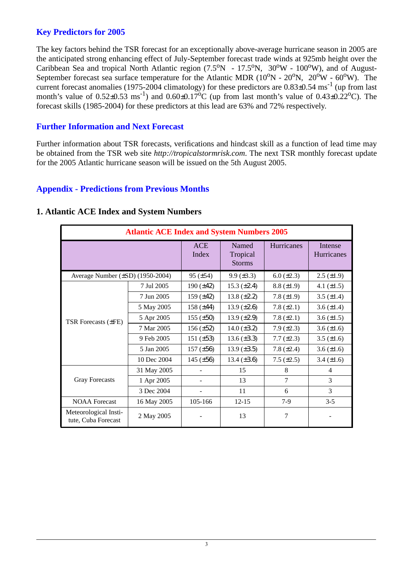## **Key Predictors for 2005**

The key factors behind the TSR forecast for an exceptionally above-average hurricane season in 2005 are the anticipated strong enhancing effect of July-September forecast trade winds at 925mb height over the Caribbean Sea and tropical North Atlantic region  $(7.5^{\circ}N - 17.5^{\circ}N, 30^{\circ}W - 100^{\circ}W)$ , and of August-September forecast sea surface temperature for the Atlantic MDR  $(10^{\circ}N - 20^{\circ}N, 20^{\circ}W - 60^{\circ}W)$ . The current forecast anomalies (1975-2004 climatology) for these predictors are  $0.83\pm0.54$  ms<sup>-1</sup> (up from last month's value of  $0.52\pm0.53 \text{ ms}^{-1}$ ) and  $0.60\pm0.17\text{°C}$  (up from last month's value of  $0.43\pm0.22\text{°C}$ ). The forecast skills (1985-2004) for these predictors at this lead are 63% and 72% respectively.

### **Further Information and Next Forecast**

Further information about TSR forecasts, verifications and hindcast skill as a function of lead time may be obtained from the TSR web site *http://tropicalstormrisk.com*. The next TSR monthly forecast update for the 2005 Atlantic hurricane season will be issued on the 5th August 2005.

#### **Appendix - Predictions from Previous Months**

| <b>Atlantic ACE Index and System Numbers 2005</b> |             |                     |                                    |                 |                       |  |
|---------------------------------------------------|-------------|---------------------|------------------------------------|-----------------|-----------------------|--|
|                                                   |             | <b>ACE</b><br>Index | Named<br>Tropical<br><b>Storms</b> | Hurricanes      | Intense<br>Hurricanes |  |
| Average Number (±SD) (1950-2004)                  |             | $95 (\pm 54)$       | $9.9 \ (\pm 3.3)$                  | 6.0 $(\pm 2.3)$ | $2.5 \ (\pm 1.9)$     |  |
|                                                   | 7 Jul 2005  | 190 $(\pm 42)$      | 15.3 $(\pm 2.4)$                   | $8.8 (\pm 1.9)$ | 4.1 $(\pm 1.5)$       |  |
|                                                   | 7 Jun 2005  | 159 $(\pm 42)$      | 13.8 $(\pm 2.2)$                   | 7.8 $(\pm 1.9)$ | 3.5 $(\pm 1.4)$       |  |
|                                                   | 5 May 2005  | $158 (\pm 44)$      | 13.9 $(\pm 2.6)$                   | 7.8 $(\pm 2.1)$ | 3.6 $(\pm 1.4)$       |  |
| TSR Forecasts $(\pm FE)$                          | 5 Apr 2005  | 155 $(\pm 50)$      | 13.9 $(\pm 2.9)$                   | 7.8 $(\pm 2.1)$ | 3.6 $(\pm 1.5)$       |  |
|                                                   | 7 Mar 2005  | $156 (\pm 52)$      | 14.0 $(\pm 3.2)$                   | 7.9 $(\pm 2.3)$ | 3.6 $(\pm 1.6)$       |  |
|                                                   | 9 Feb 2005  | 151 $(\pm 53)$      | 13.6 $(\pm 3.3)$                   | 7.7 $(\pm 2.3)$ | 3.5 $(\pm 1.6)$       |  |
|                                                   | 5 Jan 2005  | $157 (\pm 56)$      | $13.9 \ (\pm 3.5)$                 | 7.8 $(\pm 2.4)$ | $3.6 (\pm 1.6)$       |  |
|                                                   | 10 Dec 2004 | 145 $(\pm 56)$      | 13.4 $(\pm 3.6)$                   | $7.5 (\pm 2.5)$ | $3.4 (\pm 1.6)$       |  |
|                                                   | 31 May 2005 |                     | 15                                 | 8               | 4                     |  |
| <b>Gray Forecasts</b>                             | 1 Apr 2005  |                     | 13                                 | $\overline{7}$  | 3                     |  |
|                                                   | 3 Dec 2004  |                     | 11                                 | 6               | 3                     |  |
| <b>NOAA</b> Forecast                              | 16 May 2005 | 105-166             | $12 - 15$                          | $7-9$           | $3 - 5$               |  |
| Meteorological Insti-<br>tute, Cuba Forecast      | 2 May 2005  |                     | 13                                 | 7               |                       |  |

## **1. Atlantic ACE Index and System Numbers**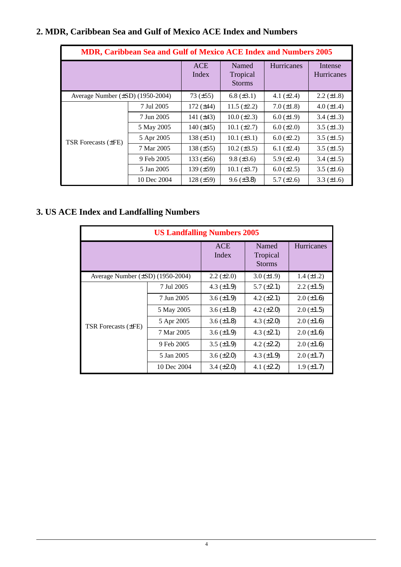# **2. MDR, Caribbean Sea and Gulf of Mexico ACE Index and Numbers**

| <b>MDR, Caribbean Sea and Gulf of Mexico ACE Index and Numbers 2005</b> |                     |                                    |                    |                              |                   |  |  |
|-------------------------------------------------------------------------|---------------------|------------------------------------|--------------------|------------------------------|-------------------|--|--|
|                                                                         | <b>ACE</b><br>Index | Named<br>Tropical<br><b>Storms</b> | <b>Hurricanes</b>  | Intense<br><b>Hurricanes</b> |                   |  |  |
| Average Number $(\pm SD)$ (1950-2004)                                   |                     | $73 (\pm 55)$                      | $6.8 \ (\pm 3.1)$  | 4.1 $(\pm 2.4)$              | $2.2 \ (\pm 1.8)$ |  |  |
|                                                                         | 7 Jul 2005          | $172 (\pm 44)$                     | $11.5 \ (\pm 2.2)$ | $7.0 (\pm 1.8)$              | 4.0 $(\pm 1.4)$   |  |  |
|                                                                         | 7 Jun 2005          | 141 $(\pm 43)$                     | $10.0 (\pm 2.3)$   | $6.0 \ (\pm 1.9)$            | $3.4 (\pm 1.3)$   |  |  |
|                                                                         | 5 May 2005          | 140 $(\pm 45)$                     | 10.1 $(\pm 2.7)$   | $6.0 \ (\pm 2.0)$            | $3.5 (\pm 1.3)$   |  |  |
| TSR Forecasts $(\pm FE)$                                                | 5 Apr 2005          | 138 $(\pm 51)$                     | $10.1 (\pm 3.1)$   | $6.0 (\pm 2.2)$              | $3.5 (\pm 1.5)$   |  |  |
|                                                                         | 7 Mar 2005          | 138 $(\pm 55)$                     | $10.2 (\pm 3.5)$   | 6.1 $(\pm 2.4)$              | $3.5 (\pm 1.5)$   |  |  |
|                                                                         | 9 Feb 2005          | 133 $(\pm 56)$                     | $9.8 (\pm 3.6)$    | 5.9 $(\pm 2.4)$              | $3.4 (\pm 1.5)$   |  |  |
|                                                                         | 5 Jan 2005          | 139 $(\pm 59)$                     | 10.1 $(\pm 3.7)$   | $6.0 \ (\pm 2.5)$            | $3.5 \ (\pm 1.6)$ |  |  |
|                                                                         | 10 Dec 2004         | $128 (\pm 59)$                     | $9.6 \, (\pm 3.8)$ | 5.7 $(\pm 2.6)$              | 3.3 $(\pm 1.6)$   |  |  |

# **3. US ACE Index and Landfalling Numbers**

| <b>US Landfalling Numbers 2005</b> |             |                     |                                    |                   |  |  |
|------------------------------------|-------------|---------------------|------------------------------------|-------------------|--|--|
|                                    |             | <b>ACE</b><br>Index | Named<br>Tropical<br><b>Storms</b> | Hurricanes        |  |  |
| Average Number (±SD) (1950-2004)   |             | $2.2 (\pm 2.0)$     | $3.0 (\pm 1.9)$                    | $1.4 (\pm 1.2)$   |  |  |
|                                    | 7 Jul 2005  | 4.3 $(\pm 1.9)$     | $5.7 (\pm 2.1)$                    | $2.2 \ (\pm 1.5)$ |  |  |
|                                    | 7 Jun 2005  | 3.6 $(\pm 1.9)$     | 4.2 $(\pm 2.1)$                    | $2.0 (\pm 1.6)$   |  |  |
|                                    | 5 May 2005  | $3.6 \, (\pm 1.8)$  | 4.2 $(\pm 2.0)$                    | $2.0 \ (\pm 1.5)$ |  |  |
| <b>TSR Forecasts (±FE)</b>         | 5 Apr 2005  | $3.6 \, (\pm 1.8)$  | 4.3 $(\pm 2.0)$                    | $2.0 \ (\pm 1.6)$ |  |  |
|                                    | 7 Mar 2005  | $3.6 \, (\pm 1.9)$  | 4.3 $(\pm 2.1)$                    | $2.0 \ (\pm 1.6)$ |  |  |
|                                    | 9 Feb 2005  | 3.5 $(\pm 1.9)$     | 4.2 $(\pm 2.2)$                    | $2.0 (\pm 1.6)$   |  |  |
|                                    | 5 Jan 2005  | $3.6 (\pm 2.0)$     | 4.3 $(\pm 1.9)$                    | $2.0 (\pm 1.7)$   |  |  |
|                                    | 10 Dec 2004 | $3.4 (\pm 2.0)$     | 4.1 $(\pm 2.2)$                    | $1.9 \ (\pm 1.7)$ |  |  |